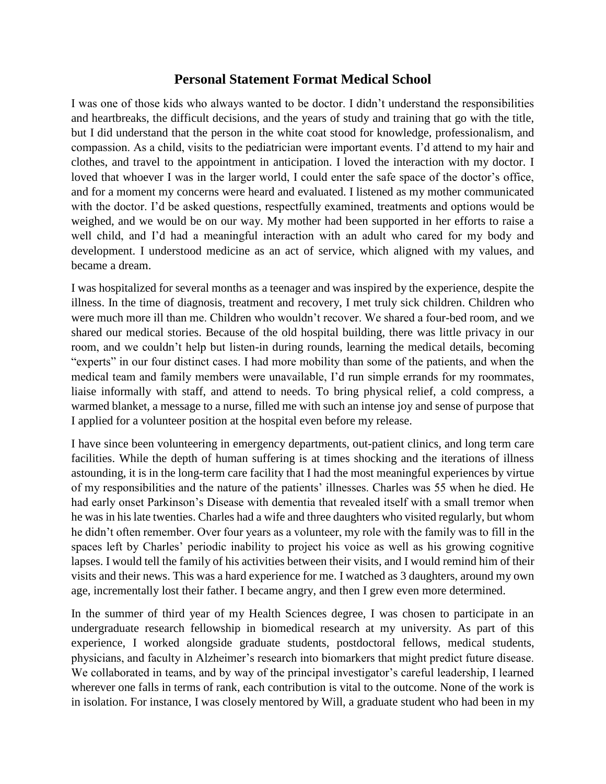## **Personal Statement Format Medical School**

I was one of those kids who always wanted to be doctor. I didn't understand the responsibilities and heartbreaks, the difficult decisions, and the years of study and training that go with the title, but I did understand that the person in the white coat stood for knowledge, professionalism, and compassion. As a child, visits to the pediatrician were important events. I'd attend to my hair and clothes, and travel to the appointment in anticipation. I loved the interaction with my doctor. I loved that whoever I was in the larger world, I could enter the safe space of the doctor's office, and for a moment my concerns were heard and evaluated. I listened as my mother communicated with the doctor. I'd be asked questions, respectfully examined, treatments and options would be weighed, and we would be on our way. My mother had been supported in her efforts to raise a well child, and I'd had a meaningful interaction with an adult who cared for my body and development. I understood medicine as an act of service, which aligned with my values, and became a dream.

I was hospitalized for several months as a teenager and was inspired by the experience, despite the illness. In the time of diagnosis, treatment and recovery, I met truly sick children. Children who were much more ill than me. Children who wouldn't recover. We shared a four-bed room, and we shared our medical stories. Because of the old hospital building, there was little privacy in our room, and we couldn't help but listen-in during rounds, learning the medical details, becoming "experts" in our four distinct cases. I had more mobility than some of the patients, and when the medical team and family members were unavailable, I'd run simple errands for my roommates, liaise informally with staff, and attend to needs. To bring physical relief, a cold compress, a warmed blanket, a message to a nurse, filled me with such an intense joy and sense of purpose that I applied for a volunteer position at the hospital even before my release.

I have since been volunteering in emergency departments, out-patient clinics, and long term care facilities. While the depth of human suffering is at times shocking and the iterations of illness astounding, it is in the long-term care facility that I had the most meaningful experiences by virtue of my responsibilities and the nature of the patients' illnesses. Charles was 55 when he died. He had early onset Parkinson's Disease with dementia that revealed itself with a small tremor when he was in his late twenties. Charles had a wife and three daughters who visited regularly, but whom he didn't often remember. Over four years as a volunteer, my role with the family was to fill in the spaces left by Charles' periodic inability to project his voice as well as his growing cognitive lapses. I would tell the family of his activities between their visits, and I would remind him of their visits and their news. This was a hard experience for me. I watched as 3 daughters, around my own age, incrementally lost their father. I became angry, and then I grew even more determined.

In the summer of third year of my Health Sciences degree, I was chosen to participate in an undergraduate research fellowship in biomedical research at my university. As part of this experience, I worked alongside graduate students, postdoctoral fellows, medical students, physicians, and faculty in Alzheimer's research into biomarkers that might predict future disease. We collaborated in teams, and by way of the principal investigator's careful leadership, I learned wherever one falls in terms of rank, each contribution is vital to the outcome. None of the work is in isolation. For instance, I was closely mentored by Will, a graduate student who had been in my